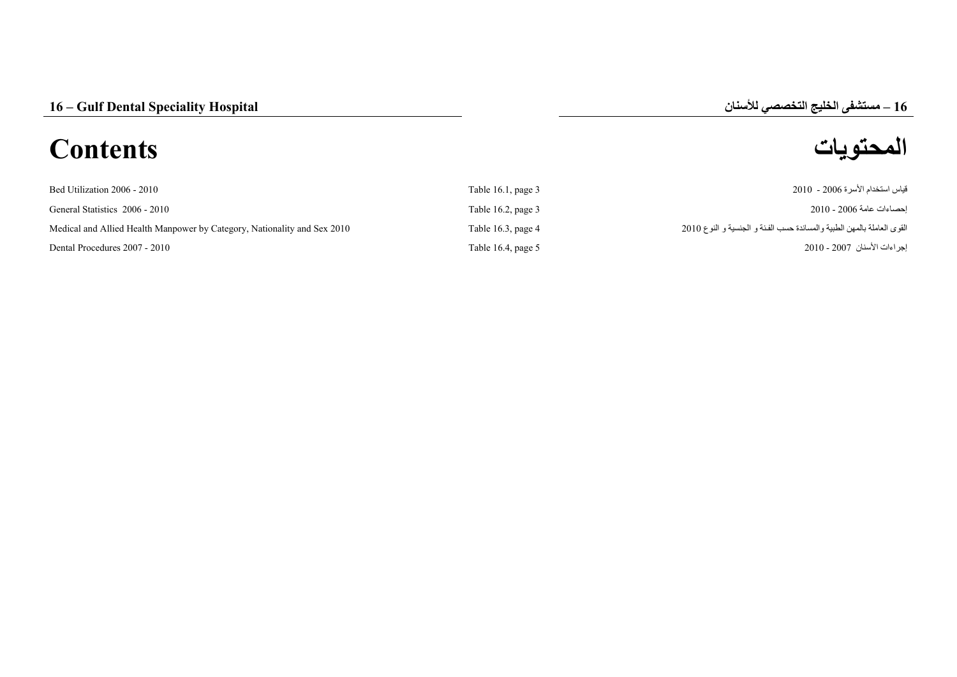# **المحتويات Contents**



| Bed Utilization 2006 - 2010                                              | Table 16.1, page $3$    | قياس استخدام الأسر ة 2006 - 2010                                       |
|--------------------------------------------------------------------------|-------------------------|------------------------------------------------------------------------|
| General Statistics 2006 - 2010                                           | Table $16.2$ , page $3$ | احصـاءات عامة 2006 - 2010                                              |
| Medical and Allied Health Manpower by Category, Nationality and Sex 2010 | Table 16.3, page $4$    | القوى العاملة بالمهن الطبية والمساندة حسب الفئة و الجنسية و النوع 2010 |
| Dental Procedures 2007 - 2010                                            | Table 16.4, page 5      | إجراءات الأسنان 2007 - 2010                                            |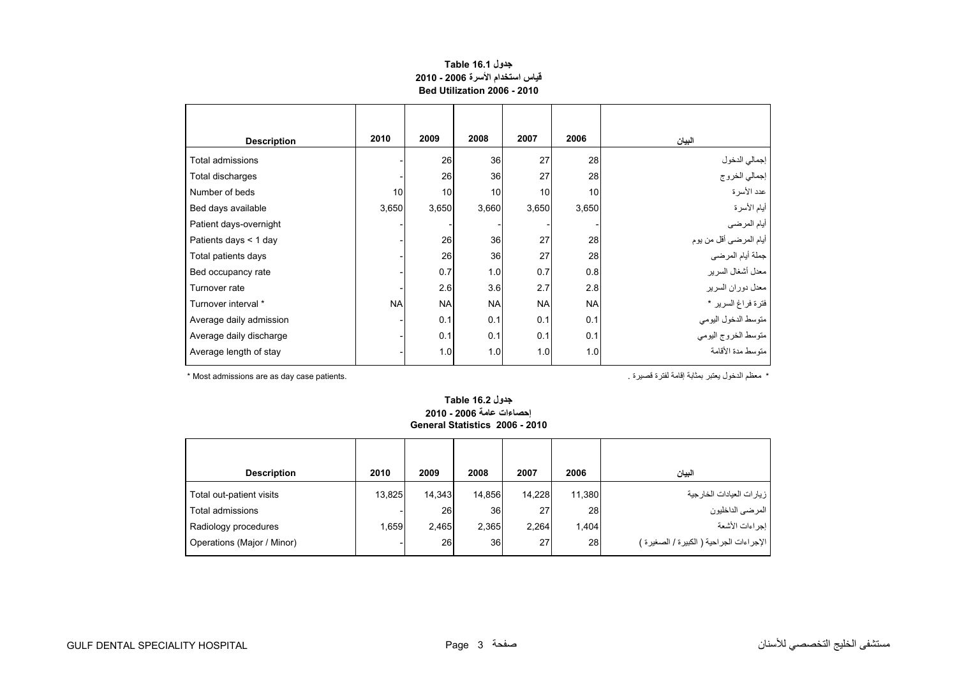## **جدول 16.1 Table قياس استخدام األسرة 2006 - 2010 Bed Utilization 2006 - 2010**

<span id="page-1-0"></span>

| <b>Description</b>      | 2010      | 2009      | 2008      | 2007      | 2006      | البيان                         |
|-------------------------|-----------|-----------|-----------|-----------|-----------|--------------------------------|
| Total admissions        |           | 26        | 36        | 27        | 28        |                                |
| Total discharges        |           | 26        | 36        | 27        | 28        | إجمالي الدخول<br>إجمالي الخروج |
| Number of beds          | 10        | 10        | 10        | 10        | 10        | عدد الأسرة                     |
| Bed days available      | 3,650     | 3,650     | 3,660     | 3,650     | 3,650     | أيام الأسرة                    |
| Patient days-overnight  |           |           |           |           |           | أيام المرضي                    |
| Patients days < 1 day   |           | 26        | 36        | 27        | 28        | أيام المرضىي أقل من يوم        |
| Total patients days     |           | 26        | 36        | 27        | 28        | جملة أيام المرضي               |
| Bed occupancy rate      |           | 0.7       | 1.0       | 0.7       | 0.8       | معدل أشغال السرير              |
| Turnover rate           |           | 2.6       | 3.6       | 2.7       | 2.8       | معدل دوران السرير              |
| Turnover interval *     | <b>NA</b> | <b>NA</b> | <b>NA</b> | <b>NA</b> | <b>NA</b> | فترة فراغ السرير *             |
| Average daily admission |           | 0.1       | 0.1       | 0.1       | 0.1       | متوسط الدخول اليومي            |
| Average daily discharge |           | 0.1       | 0.1       | 0.1       | 0.1       | متوسط الخروج اليومي            |
| Average length of stay  |           | 1.0       | 1.0       | 1.0       | 1.0       | متوسط مدة الأقامة              |

\* معظم الدخول يعتبر بمثابة إقامة لفترة قصيرة . .patients case day as are admissions Most\*

#### **جدول 16.2 Table إحصاءات عامة 2006 - 2010 General Statistics 2006 - 2010**

| <b>Description</b>         | 2010   | 2009   | 2008            | 2007            | 2006   | البيان                                   |
|----------------------------|--------|--------|-----------------|-----------------|--------|------------------------------------------|
| Total out-patient visits   | 13,825 | 14.343 | 14.856          | 14,228          | 11,380 | ز يار ات العيادات الخار جية              |
| Total admissions           |        | 26     | 36 <sub>1</sub> | 27 <sub>1</sub> | 28     | المرضى الداخليون                         |
| Radiology procedures       | 1.659  | 2.465  | 2,365           | 2,264           | 1,404  | أ إجراءات الأشعة                         |
| Operations (Major / Minor) |        | 26     | 36 <sup>1</sup> | 271             | 28     | الإجراءات الجراحية ( الكبيرة / الصغيرة ) |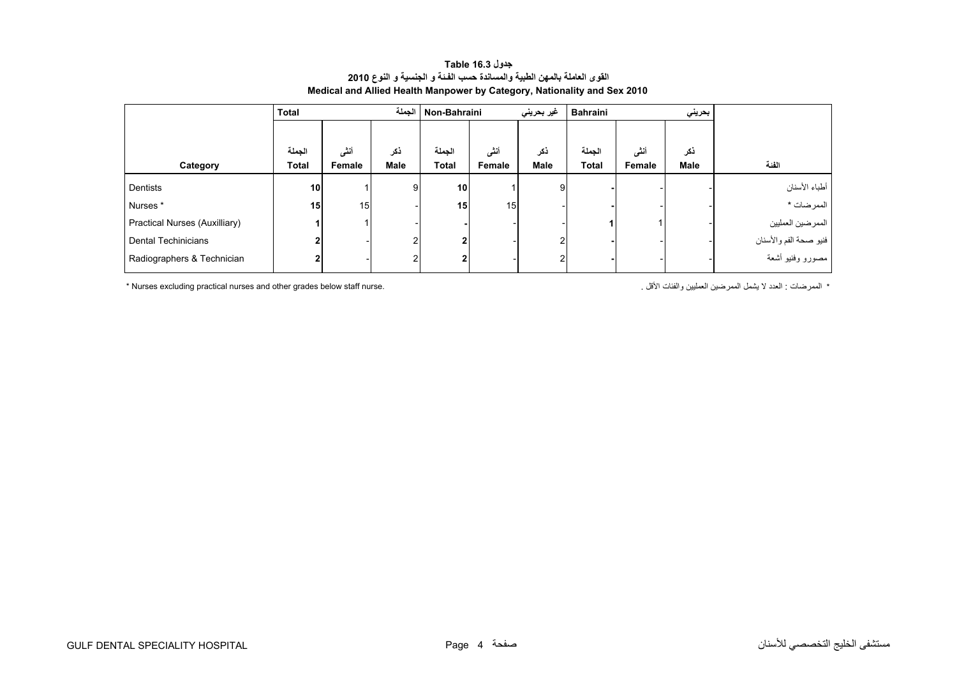<span id="page-2-0"></span>

|                               | الجملة<br><b>Total</b> |        |            | غير بحرين <i>ي</i><br>Non-Bahraini |        |      | <b>Bahraini</b><br>بحريني |        |             |                        |
|-------------------------------|------------------------|--------|------------|------------------------------------|--------|------|---------------------------|--------|-------------|------------------------|
|                               |                        |        |            |                                    |        |      |                           |        |             |                        |
|                               | الجملة                 | أنشى   | ذكر        | الجملة                             | أنشى   | ذكر  | الجملة                    | أنشى   | ذكر         |                        |
| Category                      | Total                  | Female | Male       | <b>Total</b>                       | Female | Male | Total                     | Female | <b>Male</b> | الفئة                  |
| Dentists                      | 10                     |        | 9          | 10 <sup>1</sup>                    |        | 9    |                           |        |             | أطباء الأسنان          |
| Nurses*                       | 15                     | 15     |            | 15 <sup>1</sup>                    | 15     |      |                           |        |             | الممرضات *             |
| Practical Nurses (Auxilliary) |                        |        |            |                                    |        |      |                           |        |             | الممرضين العمليين      |
| <b>Dental Techinicians</b>    | 2                      |        | $\sqrt{2}$ | $\mathbf{2}$                       |        | 2    |                           |        |             | فنيو صحة الفم والأسنان |
| Radiographers & Technician    | 2                      |        |            | $\mathbf{2}$                       |        |      |                           |        |             | مصورو وفنيو أشعة       |

## **جدول 16.3 Table القوى العاملة بالمھن الطبية والمساندة حسب الفـئة <sup>و</sup> الجنسية <sup>و</sup> النوع <sup>2010</sup> Medical and Allied Health Manpower by Category, Nationality and Sex 2010**

\* Nurses excluding practical nurses and other grades below staff nurse. . األقل والفئات العمليين الممرضين يشمل ال العدد : الممرضات\*